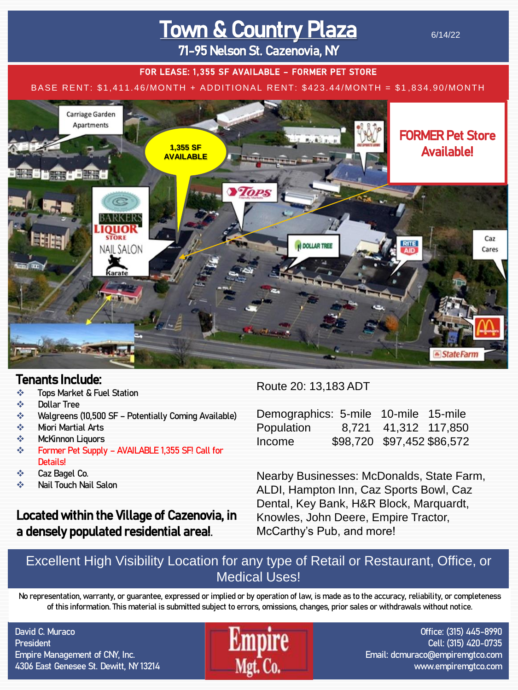# Town & Country Plaza

6/14/22

71-95 Nelson St. Cazenovia, NY

#### FOR LEASE: 1,355 SF AVAILABLE - FORMER PET STORE

#### BASE RENT: \$1,411.46/MONTH + ADDITIONAL RENT: \$423.44/MONTH = \$1 ,834.90/MONTH



### Tenants Include:

- ❖ Tops Market & Fuel Station
- ❖ Dollar Tree
- ❖ Walgreens (10,500 SF Potentially Coming Available)
- ❖ Miori Martial Arts
- ❖ McKinnon Liquors
- ❖ Former Pet Supply AVAILABLE 1,355 SF! Call for Details!
- ❖ Caz Bagel Co.
- ❖ Nail Touch Nail Salon

## Located within the Village of Cazenovia, in a densely populated residential area!.

#### Route 20: 13,183 ADT

| Demographics: 5-mile 10-mile 15-mile |                            |  |
|--------------------------------------|----------------------------|--|
| Population 8,721 41,312 117,850      |                            |  |
| Income                               | \$98,720 \$97,452 \$86,572 |  |

Nearby Businesses: McDonalds, State Farm, ALDI, Hampton Inn, Caz Sports Bowl, Caz Dental, Key Bank, H&R Block, Marquardt, Knowles, John Deere, Empire Tractor, McCarthy's Pub, and more!

### Excellent High Visibility Location for any type of Retail or Restaurant, Office, or Medical Uses!

No representation, warranty, or guarantee, expressed or implied or by operation of law, is made as to the accuracy, reliability, or completeness of this information. This material is submitted subject to errors, omissions, changes, prior sales or withdrawals without notice.

David C. Muraco **President** Empire Management of CNY, Inc. 4306 East Genesee St. Dewitt, NY 13214



Office: (315) 445-8990 Cell: (315) 420-0735 Email: dcmuraco@empiremgtco.com www.empiremgtco.com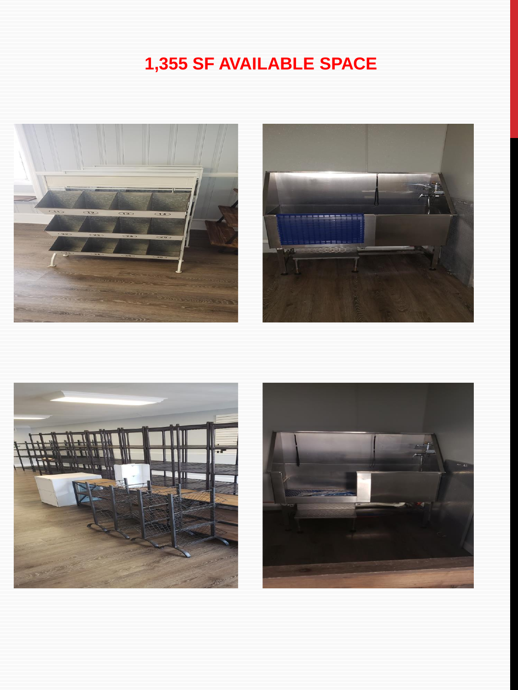# 1,355 SF AVAILABLE SPACE